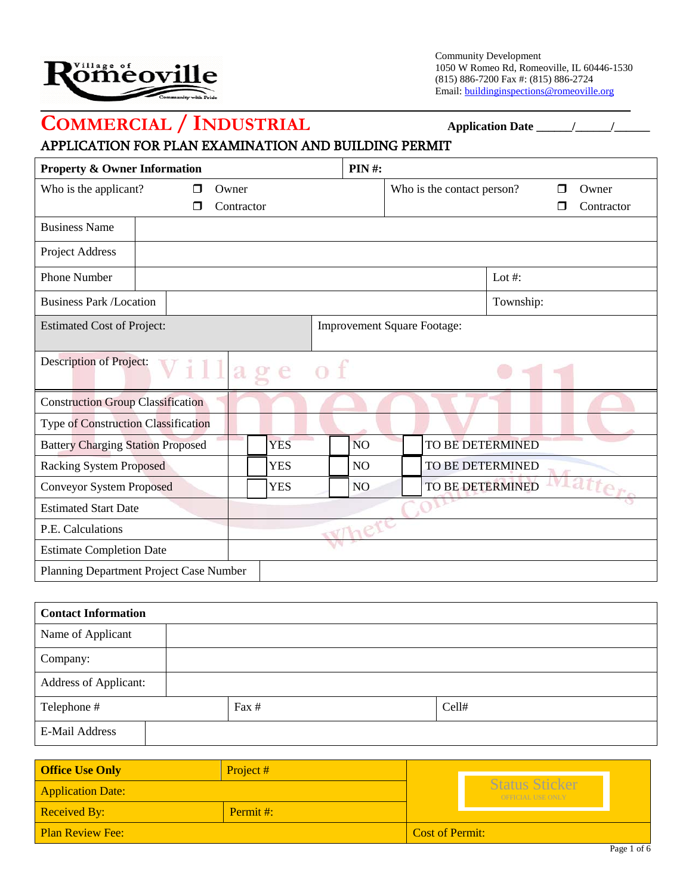

Community Development 1050 W Romeo Rd, Romeoville, IL 60446-1530 (815) 886-7200 Fax #: (815) 886-2724 Email: buildinginspections@romeoville.org

# **COMMERCIAL / INDUSTRIAL Application Date \_\_\_\_\_\_/\_\_\_\_\_\_/\_\_\_\_\_\_**

## APPLICATION FOR PLAN EXAMINATION AND BUILDING PERMIT

|                                                            | <b>Property &amp; Owner Information</b> |            |            |                  | <b>PIN#:</b>                       |                         |                          |  |
|------------------------------------------------------------|-----------------------------------------|------------|------------|------------------|------------------------------------|-------------------------|--------------------------|--|
| Who is the applicant?<br>Owner<br>⊓                        |                                         | Contractor |            |                  | Who is the contact person?         |                         | Owner<br>П<br>Contractor |  |
| <b>Business Name</b>                                       |                                         |            |            |                  |                                    |                         |                          |  |
| Project Address                                            |                                         |            |            |                  |                                    |                         |                          |  |
| <b>Phone Number</b>                                        |                                         |            |            |                  |                                    |                         | Lot #:                   |  |
| <b>Business Park /Location</b>                             |                                         |            |            |                  |                                    |                         | Township:                |  |
| <b>Estimated Cost of Project:</b>                          |                                         |            |            |                  | <b>Improvement Square Footage:</b> |                         |                          |  |
| <b>Description of Project:</b><br>$\mathfrak{a}$<br>e<br>o |                                         |            |            |                  |                                    |                         |                          |  |
| <b>Construction Group Classification</b>                   |                                         |            |            |                  |                                    |                         |                          |  |
| <b>Type of Construction Classification</b>                 |                                         |            |            |                  |                                    |                         |                          |  |
| <b>Battery Charging Station Proposed</b>                   |                                         |            | <b>YES</b> |                  | <b>NO</b>                          | <b>TO BE DETERMINED</b> |                          |  |
| <b>Racking System Proposed</b>                             |                                         |            | <b>YES</b> |                  | N <sub>O</sub>                     | TO BE DETERMINED        |                          |  |
| <b>YES</b><br><b>Conveyor System Proposed</b>              |                                         |            | NO.        | TO BE DETERMINED |                                    | tatter                  |                          |  |
| <b>Estimated Start Date</b>                                |                                         |            |            |                  |                                    |                         |                          |  |
| P.E. Calculations                                          |                                         |            |            |                  |                                    |                         |                          |  |
| <b>Estimate Completion Date</b>                            |                                         |            |            |                  |                                    |                         |                          |  |
| Planning Department Project Case Number                    |                                         |            |            |                  |                                    |                         |                          |  |

| <b>Contact Information</b>   |      |       |  |  |
|------------------------------|------|-------|--|--|
| Name of Applicant            |      |       |  |  |
| Company:                     |      |       |  |  |
| <b>Address of Applicant:</b> |      |       |  |  |
| Telephone #                  | Fax# | Cell# |  |  |
| <b>E-Mail Address</b>        |      |       |  |  |

| <b>Office Use Only</b>   | Project#  |                        |                                                   |             |
|--------------------------|-----------|------------------------|---------------------------------------------------|-------------|
| <b>Application Date:</b> |           |                        | <b>Status Sticker</b><br><b>OFFICIAL USE ONLY</b> |             |
| <b>Received By:</b>      | Permit #: |                        |                                                   |             |
| <b>Plan Review Fee:</b>  |           | <b>Cost of Permit:</b> |                                                   |             |
|                          |           |                        |                                                   | Page 1 of 6 |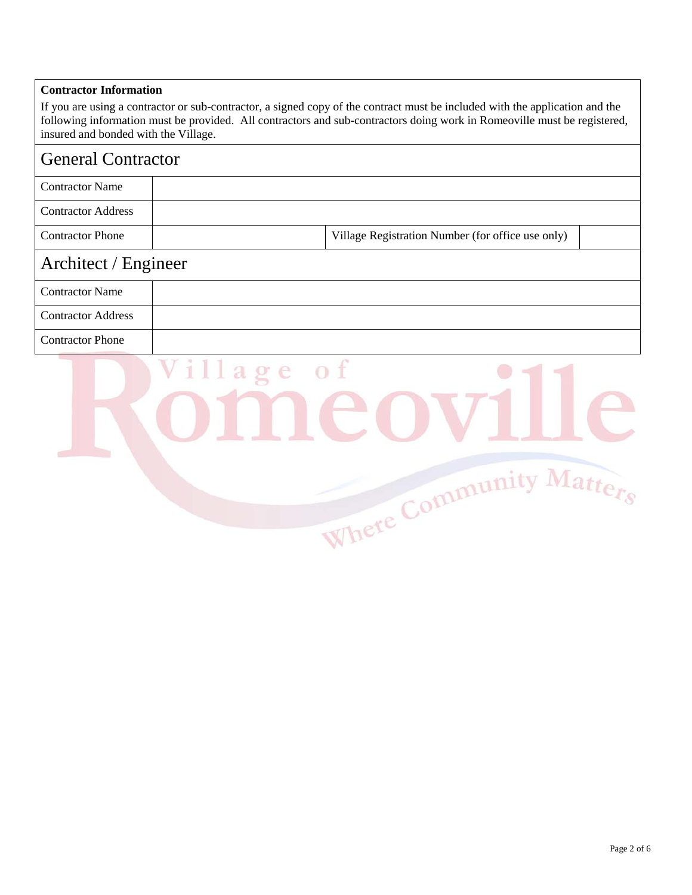#### **Contractor Information**

If you are using a contractor or sub-contractor, a signed copy of the contract must be included with the application and the following information must be provided. All contractors and sub-contractors doing work in Romeoville must be registered, insured and bonded with the Village.

## General Contractor

| <b>Contractor Name</b>    |            |                                                   |  |  |
|---------------------------|------------|---------------------------------------------------|--|--|
| <b>Contractor Address</b> |            |                                                   |  |  |
| <b>Contractor Phone</b>   |            | Village Registration Number (for office use only) |  |  |
| Architect / Engineer      |            |                                                   |  |  |
| <b>Contractor Name</b>    |            |                                                   |  |  |
| <b>Contractor Address</b> |            |                                                   |  |  |
| <b>Contractor Phone</b>   |            |                                                   |  |  |
|                           | Village of |                                                   |  |  |

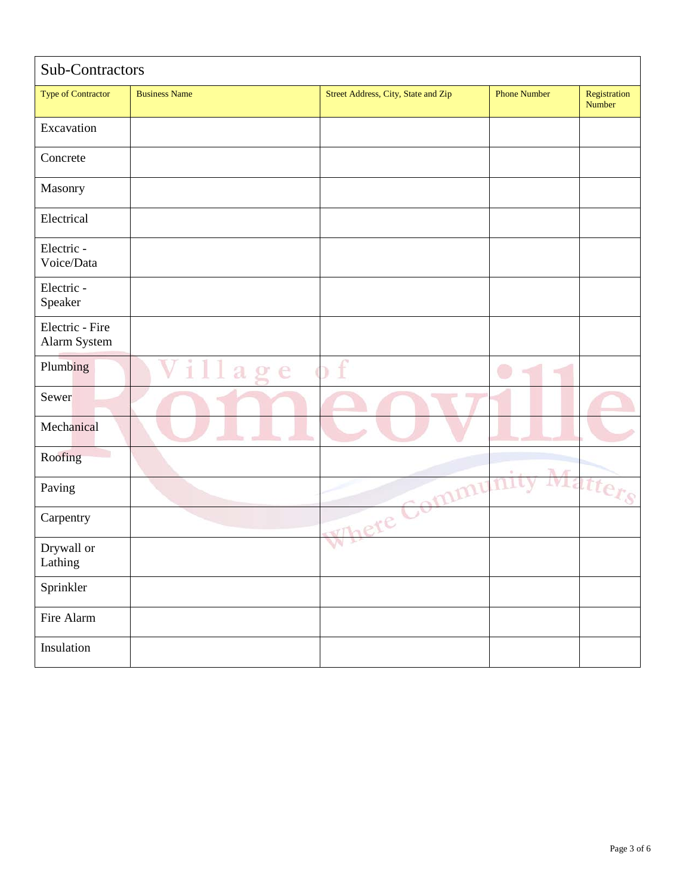| Sub-Contractors                 |                               |                                     |                     |                        |
|---------------------------------|-------------------------------|-------------------------------------|---------------------|------------------------|
| <b>Type of Contractor</b>       | <b>Business Name</b>          | Street Address, City, State and Zip | <b>Phone Number</b> | Registration<br>Number |
| Excavation                      |                               |                                     |                     |                        |
| Concrete                        |                               |                                     |                     |                        |
| Masonry                         |                               |                                     |                     |                        |
| Electrical                      |                               |                                     |                     |                        |
| Electric -<br>Voice/Data        |                               |                                     |                     |                        |
| Electric -<br>Speaker           |                               |                                     |                     |                        |
| Electric - Fire<br>Alarm System |                               |                                     |                     |                        |
| Plumbing                        | a sa T<br>$\mathfrak{a}$<br>e | f                                   |                     |                        |
| Sewer                           |                               |                                     |                     |                        |
| Mechanical                      |                               |                                     |                     |                        |
| D<br>Roofing                    |                               |                                     | A                   |                        |
| Paving                          |                               | Where Commu                         | VI 3                | $t$ ter $s$            |
| Carpentry                       |                               |                                     |                     |                        |
| Drywall or<br>Lathing           |                               |                                     |                     |                        |
| Sprinkler                       |                               |                                     |                     |                        |
| Fire Alarm                      |                               |                                     |                     |                        |
| Insulation                      |                               |                                     |                     |                        |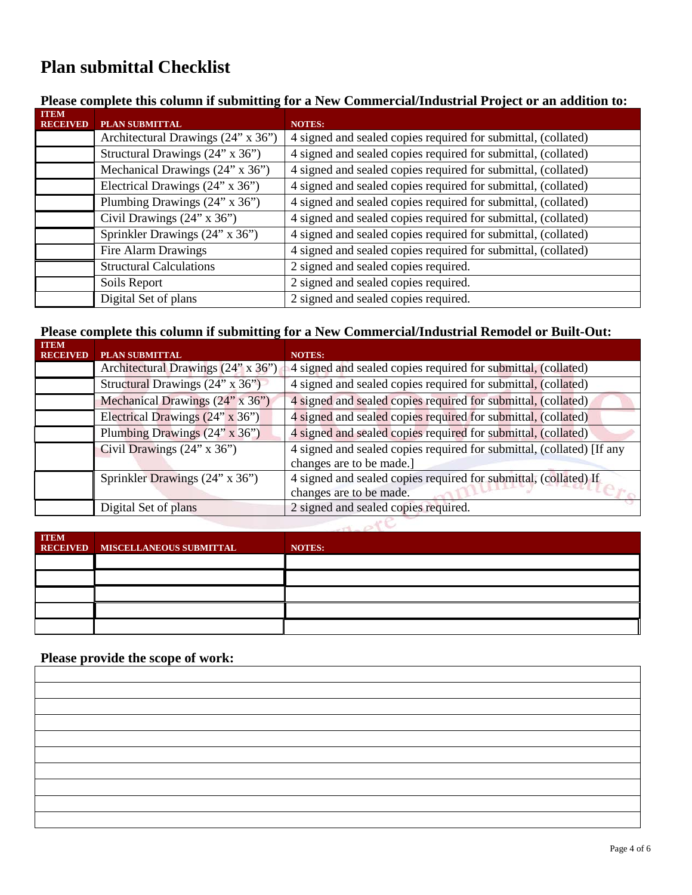# **Plan submittal Checklist**

### **Please complete this column if submitting for a New Commercial/Industrial Project or an addition to:**

| <b>ITEM</b><br><b>RECEIVED</b> | PLAN SUBMITTAL                     | <b>NOTES:</b>                                                 |
|--------------------------------|------------------------------------|---------------------------------------------------------------|
|                                | Architectural Drawings (24" x 36") | 4 signed and sealed copies required for submittal, (collated) |
|                                | Structural Drawings (24" x 36")    | 4 signed and sealed copies required for submittal, (collated) |
|                                | Mechanical Drawings (24" x 36")    | 4 signed and sealed copies required for submittal, (collated) |
|                                | Electrical Drawings (24" x 36")    | 4 signed and sealed copies required for submittal, (collated) |
|                                | Plumbing Drawings (24" x 36")      | 4 signed and sealed copies required for submittal, (collated) |
|                                | Civil Drawings (24" x 36")         | 4 signed and sealed copies required for submittal, (collated) |
|                                | Sprinkler Drawings (24" x 36")     | 4 signed and sealed copies required for submittal, (collated) |
|                                | Fire Alarm Drawings                | 4 signed and sealed copies required for submittal, (collated) |
|                                | <b>Structural Calculations</b>     | 2 signed and sealed copies required.                          |
|                                | Soils Report                       | 2 signed and sealed copies required.                          |
|                                | Digital Set of plans               | 2 signed and sealed copies required.                          |

### **Please complete this column if submitting for a New Commercial/Industrial Remodel or Built-Out:**

| <b>ITEM</b><br><b>RECEIVED</b> | PLAN SUBMITTAL                     | <b>NOTES:</b>                                                                                     |  |
|--------------------------------|------------------------------------|---------------------------------------------------------------------------------------------------|--|
|                                | Architectural Drawings (24" x 36") | 4 signed and sealed copies required for submittal, (collated)                                     |  |
|                                | Structural Drawings (24" x 36")    | 4 signed and sealed copies required for submittal, (collated)                                     |  |
|                                | Mechanical Drawings (24" x 36")    | 4 signed and sealed copies required for submittal, (collated)                                     |  |
|                                | Electrical Drawings (24" x 36")    | 4 signed and sealed copies required for submittal, (collated)                                     |  |
|                                | Plumbing Drawings (24" x 36")      | 4 signed and sealed copies required for submittal, (collated)                                     |  |
|                                | Civil Drawings $(24" \times 36")$  | 4 signed and sealed copies required for submittal, (collated) [If any<br>changes are to be made.] |  |
|                                | Sprinkler Drawings (24" x 36")     | 4 signed and sealed copies required for submittal, (collated) If<br>changes are to be made.       |  |
|                                | Digital Set of plans               | 2 signed and sealed copies required.                                                              |  |
|                                |                                    |                                                                                                   |  |

| <b>ITEM</b> | RECEIVED MISCELLANEOUS SUBMITTAL | NOTES: |
|-------------|----------------------------------|--------|
|             |                                  |        |
|             |                                  |        |
|             |                                  |        |
|             |                                  |        |
|             |                                  |        |

## **Please provide the scope of work:**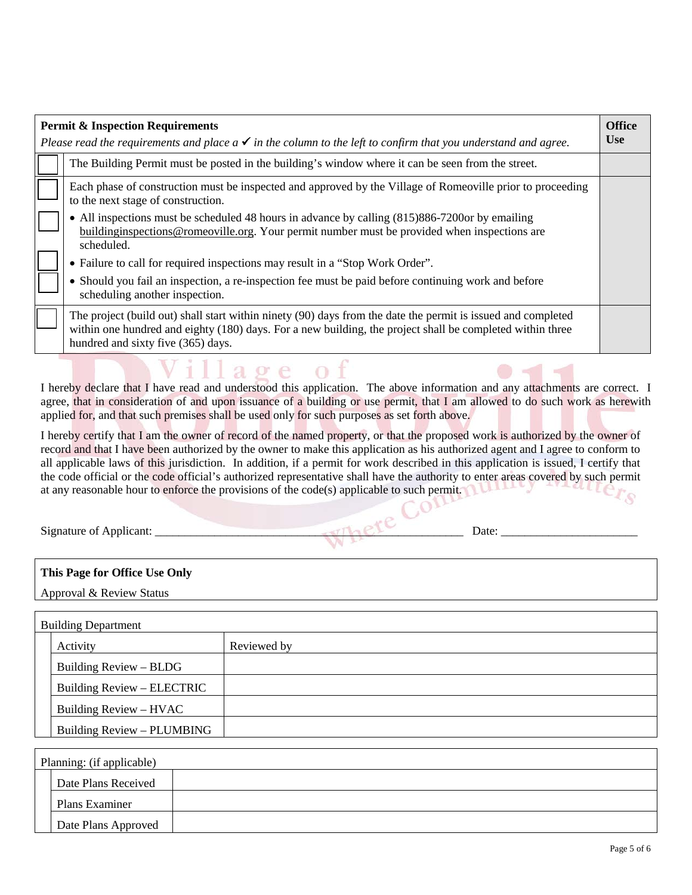| <b>Office</b><br><b>Permit &amp; Inspection Requirements</b> |                                                                                                                                                                                                                                                                 |            |  |  |  |
|--------------------------------------------------------------|-----------------------------------------------------------------------------------------------------------------------------------------------------------------------------------------------------------------------------------------------------------------|------------|--|--|--|
|                                                              | Please read the requirements and place $a \checkmark$ in the column to the left to confirm that you understand and agree.                                                                                                                                       | <b>Use</b> |  |  |  |
|                                                              | The Building Permit must be posted in the building's window where it can be seen from the street.                                                                                                                                                               |            |  |  |  |
|                                                              | Each phase of construction must be inspected and approved by the Village of Romeoville prior to proceeding<br>to the next stage of construction.                                                                                                                |            |  |  |  |
|                                                              | • All inspections must be scheduled 48 hours in advance by calling (815)886-7200 or by emailing<br>buildinginspections@romeoville.org. Your permit number must be provided when inspections are<br>scheduled.                                                   |            |  |  |  |
|                                                              | • Failure to call for required inspections may result in a "Stop Work Order".                                                                                                                                                                                   |            |  |  |  |
|                                                              | • Should you fail an inspection, a re-inspection fee must be paid before continuing work and before<br>scheduling another inspection.                                                                                                                           |            |  |  |  |
|                                                              | The project (build out) shall start within ninety (90) days from the date the permit is issued and completed<br>within one hundred and eighty (180) days. For a new building, the project shall be completed within three<br>hundred and sixty five (365) days. |            |  |  |  |
|                                                              | Village of                                                                                                                                                                                                                                                      |            |  |  |  |

I hereby declare that I have read and understood this application. The above information and any attachments are correct. I agree, that in consideration of and upon issuance of a building or use permit, that I am allowed to do such work as herewith applied for, and that such premises shall be used only for such purposes as set forth above.

I hereby certify that I am the owner of record of the named property, or that the proposed work is authorized by the owner of record and that I have been authorized by the owner to make this application as his authorized agent and I agree to conform to all applicable laws of this jurisdiction. In addition, if a permit for work described in this application is issued, I certify that the code official or the code official's authorized representative shall have the authority to enter areas covered by such permit at any reasonable hour to enforce the provisions of the code(s) applicable to such permit.  $e_{\mathcal{F}_{\mathcal{S}}}$ 

Signature of Applicant: \_\_\_\_\_\_\_\_\_\_\_\_\_\_\_\_\_\_\_\_\_\_\_\_\_\_\_\_\_\_\_\_\_\_\_\_\_\_\_\_\_\_\_\_\_\_\_\_\_\_\_\_ Date: \_\_\_\_\_\_\_\_\_\_\_\_\_\_\_\_\_\_\_\_\_\_\_

#### **This Page for Office Use Only**

Approval & Review Status

| <b>Building Department</b> |             |  |  |  |
|----------------------------|-------------|--|--|--|
| Activity                   | Reviewed by |  |  |  |
| Building Review – BLDG     |             |  |  |  |
| Building Review – ELECTRIC |             |  |  |  |
| Building Review – HVAC     |             |  |  |  |
| Building Review - PLUMBING |             |  |  |  |

| Planning: (if applicable) |  |  |  |  |
|---------------------------|--|--|--|--|
| Date Plans Received       |  |  |  |  |
| Plans Examiner            |  |  |  |  |
| Date Plans Approved       |  |  |  |  |